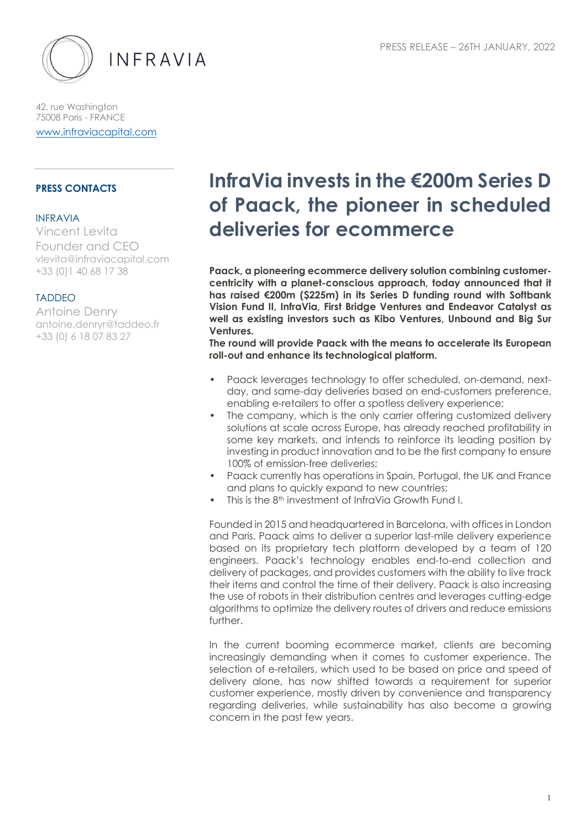

42, rue Washington 75008 Paris - FRANCE www.infraviacapital.com

## **PRESS CONTACTS**

#### INFRAVIA

Vincent Levita Founder and CEO vlevita@infraviacapital.com +33 (0)1 40 68 17 38

#### TADDEO

Antoine Denry antoine.denryr@taddeo.fr +33 (0) 6 18 07 83 27

# **InfraVia invests in the €200m Series D of Paack, the pioneer in scheduled deliveries for ecommerce**

**Paack, a pioneering ecommerce delivery solution combining customercentricity with a planet-conscious approach, today announced that it has raised €200m (\$225m) in its Series D funding round with Softbank Vision Fund II, InfraVia, First Bridge Ventures and Endeavor Catalyst as well as existing investors such as Kibo Ventures, Unbound and Big Sur Ventures.**

**The round will provide Paack with the means to accelerate its European roll-out and enhance its technological platform.**

- Paack leverages technology to offer scheduled, on-demand, nextday, and same-day deliveries based on end-customers preference, enabling e-retailers to offer a spotless delivery experience;
- The company, which is the only carrier offering customized delivery solutions at scale across Europe, has already reached profitability in some key markets, and intends to reinforce its leading position by investing in product innovation and to be the first company to ensure 100% of emission-free deliveries;
- Paack currently has operations in Spain, Portugal, the UK and France and plans to quickly expand to new countries;
- This is the 8<sup>th</sup> investment of InfraVia Growth Fund I.

Founded in 2015 and headquartered in Barcelona, with offices in London and Paris, Paack aims to deliver a superior last-mile delivery experience based on its proprietary tech platform developed by a team of 120 engineers. Paack's technology enables end-to-end collection and delivery of packages, and provides customers with the ability to live track their items and control the time of their delivery. Paack is also increasing the use of robots in their distribution centres and leverages cutting-edge algorithms to optimize the delivery routes of drivers and reduce emissions further.

In the current booming ecommerce market, clients are becoming increasingly demanding when it comes to customer experience. The selection of e-retailers, which used to be based on price and speed of delivery alone, has now shifted towards a requirement for superior customer experience, mostly driven by convenience and transparency regarding deliveries, while sustainability has also become a growing concern in the past few years.